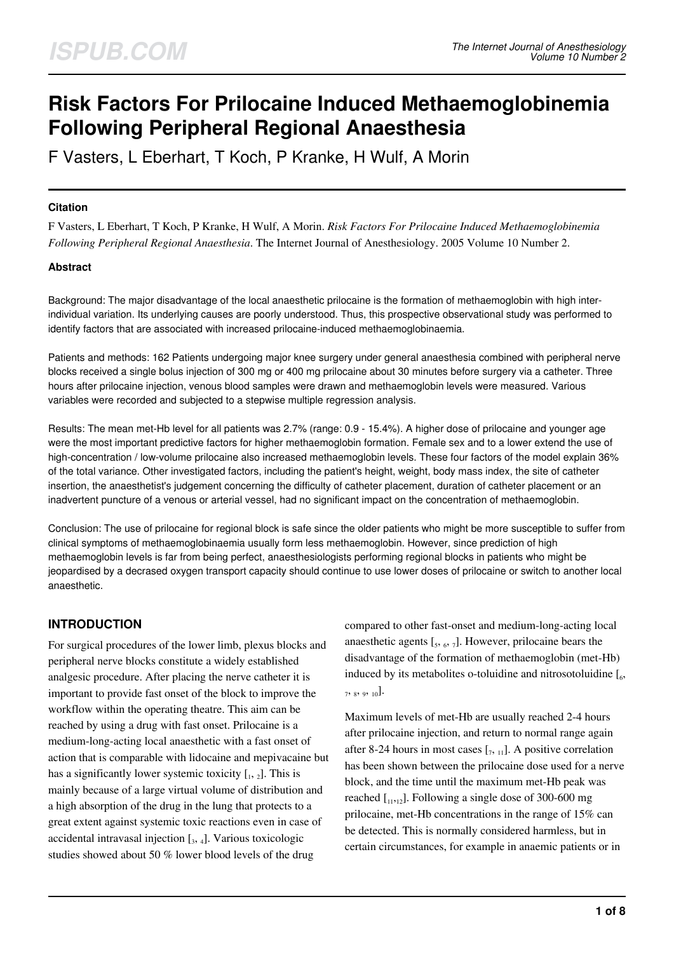# **Risk Factors For Prilocaine Induced Methaemoglobinemia Following Peripheral Regional Anaesthesia**

F Vasters, L Eberhart, T Koch, P Kranke, H Wulf, A Morin

## **Citation**

F Vasters, L Eberhart, T Koch, P Kranke, H Wulf, A Morin. *Risk Factors For Prilocaine Induced Methaemoglobinemia Following Peripheral Regional Anaesthesia*. The Internet Journal of Anesthesiology. 2005 Volume 10 Number 2.

## **Abstract**

Background: The major disadvantage of the local anaesthetic prilocaine is the formation of methaemoglobin with high interindividual variation. Its underlying causes are poorly understood. Thus, this prospective observational study was performed to identify factors that are associated with increased prilocaine-induced methaemoglobinaemia.

Patients and methods: 162 Patients undergoing major knee surgery under general anaesthesia combined with peripheral nerve blocks received a single bolus injection of 300 mg or 400 mg prilocaine about 30 minutes before surgery via a catheter. Three hours after prilocaine injection, venous blood samples were drawn and methaemoglobin levels were measured. Various variables were recorded and subjected to a stepwise multiple regression analysis.

Results: The mean met-Hb level for all patients was 2.7% (range: 0.9 - 15.4%). A higher dose of prilocaine and younger age were the most important predictive factors for higher methaemoglobin formation. Female sex and to a lower extend the use of high-concentration / low-volume prilocaine also increased methaemoglobin levels. These four factors of the model explain 36% of the total variance. Other investigated factors, including the patient's height, weight, body mass index, the site of catheter insertion, the anaesthetist's judgement concerning the difficulty of catheter placement, duration of catheter placement or an inadvertent puncture of a venous or arterial vessel, had no significant impact on the concentration of methaemoglobin.

Conclusion: The use of prilocaine for regional block is safe since the older patients who might be more susceptible to suffer from clinical symptoms of methaemoglobinaemia usually form less methaemoglobin. However, since prediction of high methaemoglobin levels is far from being perfect, anaesthesiologists performing regional blocks in patients who might be jeopardised by a decrased oxygen transport capacity should continue to use lower doses of prilocaine or switch to another local anaesthetic.

# **INTRODUCTION**

For surgical procedures of the lower limb, plexus blocks and peripheral nerve blocks constitute a widely established analgesic procedure. After placing the nerve catheter it is important to provide fast onset of the block to improve the workflow within the operating theatre. This aim can be reached by using a drug with fast onset. Prilocaine is a medium-long-acting local anaesthetic with a fast onset of action that is comparable with lidocaine and mepivacaine but has a significantly lower systemic toxicity  $\left[1, 2\right]$ . This is mainly because of a large virtual volume of distribution and a high absorption of the drug in the lung that protects to a great extent against systemic toxic reactions even in case of accidental intravasal injection  $\left[ \begin{smallmatrix} 3, & 4 \end{smallmatrix} \right]$ . Various toxicologic studies showed about 50 % lower blood levels of the drug

compared to other fast-onset and medium-long-acting local anaesthetic agents  $\left[ \zeta, \zeta, \zeta \right]$ . However, prilocaine bears the disadvantage of the formation of methaemoglobin (met-Hb) induced by its metabolites o-toluidine and nitrosotoluidine  $[\,6, 6\,]$  $7, s, 9, 10$ .

Maximum levels of met-Hb are usually reached 2-4 hours after prilocaine injection, and return to normal range again after 8-24 hours in most cases  $\left[\right]$ <sub>7</sub>,  $\left[\right]$ . A positive correlation has been shown between the prilocaine dose used for a nerve block, and the time until the maximum met-Hb peak was reached  $\left[1,1,12\right]$ . Following a single dose of 300-600 mg prilocaine, met-Hb concentrations in the range of 15% can be detected. This is normally considered harmless, but in certain circumstances, for example in anaemic patients or in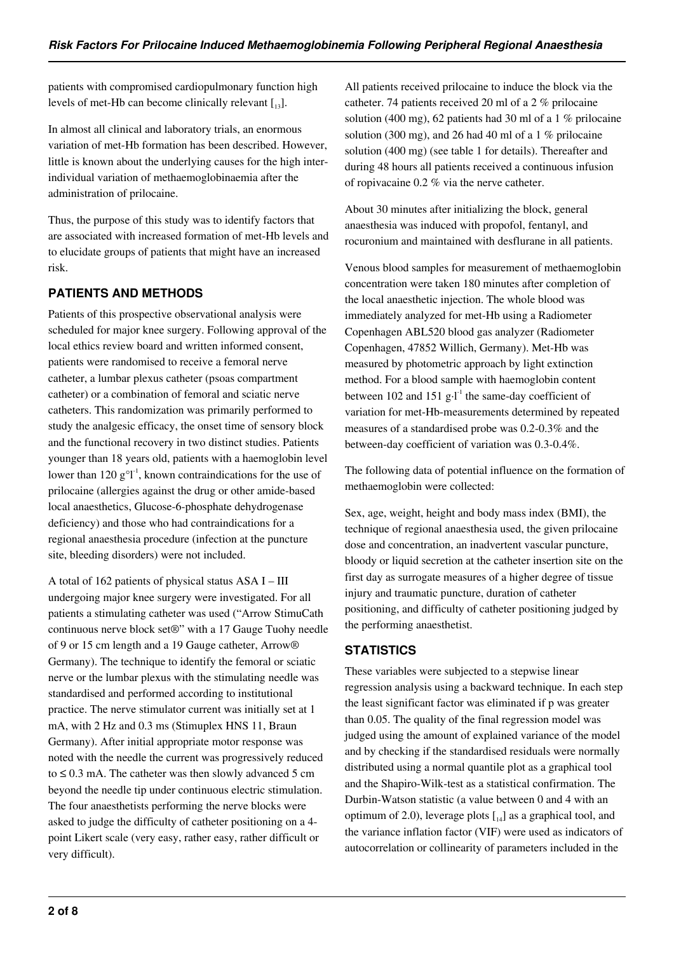patients with compromised cardiopulmonary function high levels of met-Hb can become clinically relevant  $\begin{bmatrix} 1 & 3 \end{bmatrix}$ .

In almost all clinical and laboratory trials, an enormous variation of met-Hb formation has been described. However, little is known about the underlying causes for the high interindividual variation of methaemoglobinaemia after the administration of prilocaine.

Thus, the purpose of this study was to identify factors that are associated with increased formation of met-Hb levels and to elucidate groups of patients that might have an increased risk.

# **PATIENTS AND METHODS**

Patients of this prospective observational analysis were scheduled for major knee surgery. Following approval of the local ethics review board and written informed consent, patients were randomised to receive a femoral nerve catheter, a lumbar plexus catheter (psoas compartment catheter) or a combination of femoral and sciatic nerve catheters. This randomization was primarily performed to study the analgesic efficacy, the onset time of sensory block and the functional recovery in two distinct studies. Patients younger than 18 years old, patients with a haemoglobin level lower than 120  $g^{\circ}l^{-1}$ , known contraindications for the use of prilocaine (allergies against the drug or other amide-based local anaesthetics, Glucose-6-phosphate dehydrogenase deficiency) and those who had contraindications for a regional anaesthesia procedure (infection at the puncture site, bleeding disorders) were not included.

A total of 162 patients of physical status  $ASA I - III$ undergoing major knee surgery were investigated. For all patients a stimulating catheter was used ("Arrow StimuCath continuous nerve block set®" with a 17 Gauge Tuohy needle of 9 or 15 cm length and a 19 Gauge catheter, Arrow® Germany). The technique to identify the femoral or sciatic nerve or the lumbar plexus with the stimulating needle was standardised and performed according to institutional practice. The nerve stimulator current was initially set at 1 mA, with 2 Hz and 0.3 ms (Stimuplex HNS 11, Braun Germany). After initial appropriate motor response was noted with the needle the current was progressively reduced to  $\leq$  0.3 mA. The catheter was then slowly advanced 5 cm beyond the needle tip under continuous electric stimulation. The four anaesthetists performing the nerve blocks were asked to judge the difficulty of catheter positioning on a 4 point Likert scale (very easy, rather easy, rather difficult or very difficult).

All patients received prilocaine to induce the block via the catheter. 74 patients received 20 ml of a 2 % prilocaine solution (400 mg), 62 patients had 30 ml of a 1 % prilocaine solution (300 mg), and 26 had 40 ml of a 1  $%$  prilocaine solution (400 mg) (see table 1 for details). Thereafter and during 48 hours all patients received a continuous infusion of ropivacaine 0.2 % via the nerve catheter.

About 30 minutes after initializing the block, general anaesthesia was induced with propofol, fentanyl, and rocuronium and maintained with desflurane in all patients.

Venous blood samples for measurement of methaemoglobin concentration were taken 180 minutes after completion of the local anaesthetic injection. The whole blood was immediately analyzed for met-Hb using a Radiometer Copenhagen ABL520 blood gas analyzer (Radiometer Copenhagen, 47852 Willich, Germany). Met-Hb was measured by photometric approach by light extinction method. For a blood sample with haemoglobin content between 102 and 151  $g \cdot l^{-1}$  the same-day coefficient of variation for met-Hb-measurements determined by repeated measures of a standardised probe was 0.2-0.3% and the between-day coefficient of variation was 0.3-0.4%.

The following data of potential influence on the formation of methaemoglobin were collected:

Sex, age, weight, height and body mass index (BMI), the technique of regional anaesthesia used, the given prilocaine dose and concentration, an inadvertent vascular puncture, bloody or liquid secretion at the catheter insertion site on the first day as surrogate measures of a higher degree of tissue injury and traumatic puncture, duration of catheter positioning, and difficulty of catheter positioning judged by the performing anaesthetist.

# **STATISTICS**

These variables were subjected to a stepwise linear regression analysis using a backward technique. In each step the least significant factor was eliminated if p was greater than 0.05. The quality of the final regression model was judged using the amount of explained variance of the model and by checking if the standardised residuals were normally distributed using a normal quantile plot as a graphical tool and the Shapiro-Wilk-test as a statistical confirmation. The Durbin-Watson statistic (a value between 0 and 4 with an optimum of 2.0), leverage plots  $\lceil a_4 \rceil$  as a graphical tool, and the variance inflation factor (VIF) were used as indicators of autocorrelation or collinearity of parameters included in the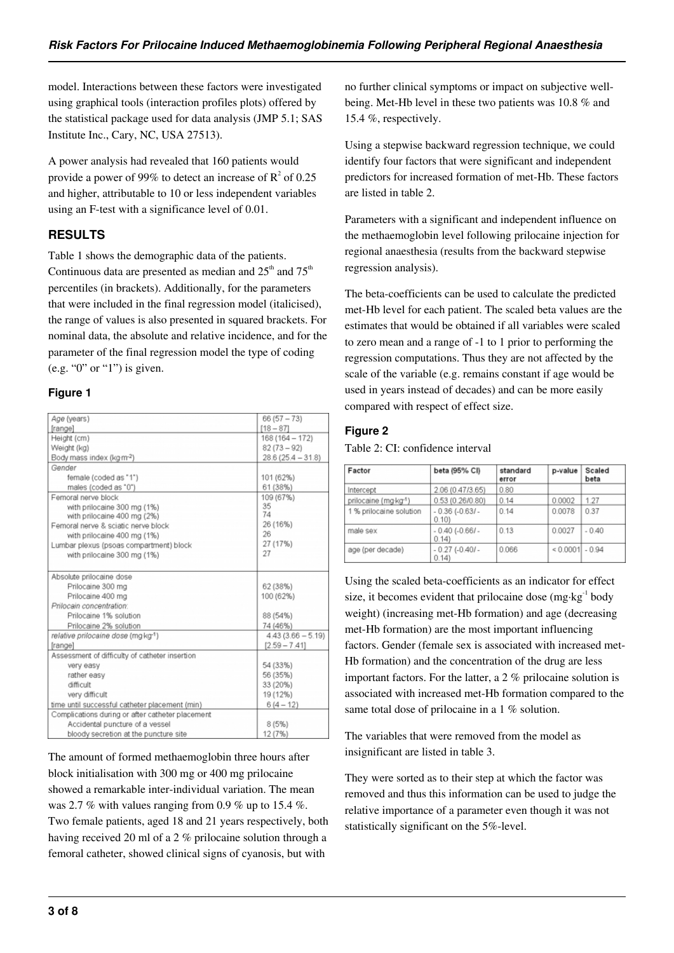model. Interactions between these factors were investigated using graphical tools (interaction profiles plots) offered by the statistical package used for data analysis (JMP 5.1; SAS Institute Inc., Cary, NC, USA 27513).

A power analysis had revealed that 160 patients would provide a power of 99% to detect an increase of  $\mathbb{R}^2$  of 0.25 and higher, attributable to 10 or less independent variables using an F-test with a significance level of 0.01.

# **RESULTS**

Table 1 shows the demographic data of the patients. Continuous data are presented as median and  $25<sup>th</sup>$  and  $75<sup>th</sup>$ percentiles (in brackets). Additionally, for the parameters that were included in the final regression model (italicised), the range of values is also presented in squared brackets. For nominal data, the absolute and relative incidence, and for the parameter of the final regression model the type of coding (e.g. "0" or "1") is given.

## **Figure 1**

| Age (years)                                      | $66(57 - 73)$       |  |
|--------------------------------------------------|---------------------|--|
| [range]                                          | $[18 - 87]$         |  |
| Height (cm)                                      | $168(164 - 172)$    |  |
| Weight (kg)                                      | $82(73 - 92)$       |  |
| Body mass index (kg-m-2)                         | $28.6(25.4 - 31.8)$ |  |
| Gender                                           |                     |  |
|                                                  |                     |  |
| female (coded as "1")                            | 101 (62%)           |  |
| males (coded as "0")                             | 61 (38%)            |  |
| Femoral nerve block                              | 109 (67%)<br>35     |  |
| with prilocaine 300 mg (1%)                      | 74                  |  |
| with prilocaine 400 mg (2%)                      | 26 (16%)            |  |
| Femoral nerve & sciatic nerve block              | 26                  |  |
| with prilocaine 400 mg (1%)                      | 27 (17%)            |  |
| Lumbar plexus (psoas compartment) block          | 27                  |  |
| with prilocaine 300 mg (1%)                      |                     |  |
| Absolute prilocaine dose                         |                     |  |
| Prilocaine 300 mg                                | 62 (38%)            |  |
| Prilocaine 400 mg                                | 100 (62%)           |  |
| Prilocain concentration:                         |                     |  |
| Prilocaine 1% solution                           | 88 (54%)            |  |
| Prilocaine 2% solution                           | 74 (46%)            |  |
| relative prilocaine dose (mg·kg-1)               | $4.43(3.66 - 5.19)$ |  |
| [range]                                          | $[2.59 - 7.41]$     |  |
| Assessment of difficulty of catheter insertion   |                     |  |
| very easy                                        | 54 (33%)            |  |
| rather easy                                      | 56 (35%)            |  |
| difficult                                        | 33 (20%)            |  |
| very difficult                                   | 19 (12%)            |  |
| time until successful catheter placement (min)   | $6(4-12)$           |  |
| Complications during or after catheter placement |                     |  |
| Accidental puncture of a vessel                  | 8(5%)               |  |
| bloody secretion at the puncture site            | 12 (7%)             |  |

The amount of formed methaemoglobin three hours after block initialisation with 300 mg or 400 mg prilocaine showed a remarkable inter-individual variation. The mean was 2.7 % with values ranging from 0.9 % up to 15.4 %. Two female patients, aged 18 and 21 years respectively, both having received 20 ml of a 2 % prilocaine solution through a femoral catheter, showed clinical signs of cyanosis, but with

no further clinical symptoms or impact on subjective wellbeing. Met-Hb level in these two patients was 10.8 % and 15.4 %, respectively.

Using a stepwise backward regression technique, we could identify four factors that were significant and independent predictors for increased formation of met-Hb. These factors are listed in table 2.

Parameters with a significant and independent influence on the methaemoglobin level following prilocaine injection for regional anaesthesia (results from the backward stepwise regression analysis).

The beta-coefficients can be used to calculate the predicted met-Hb level for each patient. The scaled beta values are the estimates that would be obtained if all variables were scaled to zero mean and a range of -1 to 1 prior to performing the regression computations. Thus they are not affected by the scale of the variable (e.g. remains constant if age would be used in years instead of decades) and can be more easily compared with respect of effect size.

## **Figure 2**

Table 2: CI: confidence interval

| Factor                  | beta (95% CI)                   | standard<br>error | p-value           | Scaled<br>beta |
|-------------------------|---------------------------------|-------------------|-------------------|----------------|
| Intercept               | 2.06 (0.47/3.65)                | 0.80              |                   |                |
| prilocaine (mg·kg-1)    | 0.53(0.26/0.80)                 | 0.14              | 0.0002            | 1.27           |
| 1 % prilocaine solution | $-0.36(-0.63/-$<br>0.10         | 0.14              | 0.0078            | 0.37           |
| male sex                | $-0.40$ ( $-0.66$ ) $-$<br>0.14 | 0.13              | 0.0027            | $-0.40$        |
| age (per decade)        | $-0.27(-0.40/-$<br>0.14         | 0.066             | $< 0.0001$ - 0.94 |                |

Using the scaled beta-coefficients as an indicator for effect size, it becomes evident that prilocaine dose  $(mg \cdot kg^{-1}$  body weight) (increasing met-Hb formation) and age (decreasing met-Hb formation) are the most important influencing factors. Gender (female sex is associated with increased met-Hb formation) and the concentration of the drug are less important factors. For the latter, a 2 % prilocaine solution is associated with increased met-Hb formation compared to the same total dose of prilocaine in a 1 % solution.

The variables that were removed from the model as insignificant are listed in table 3.

They were sorted as to their step at which the factor was removed and thus this information can be used to judge the relative importance of a parameter even though it was not statistically significant on the 5%-level.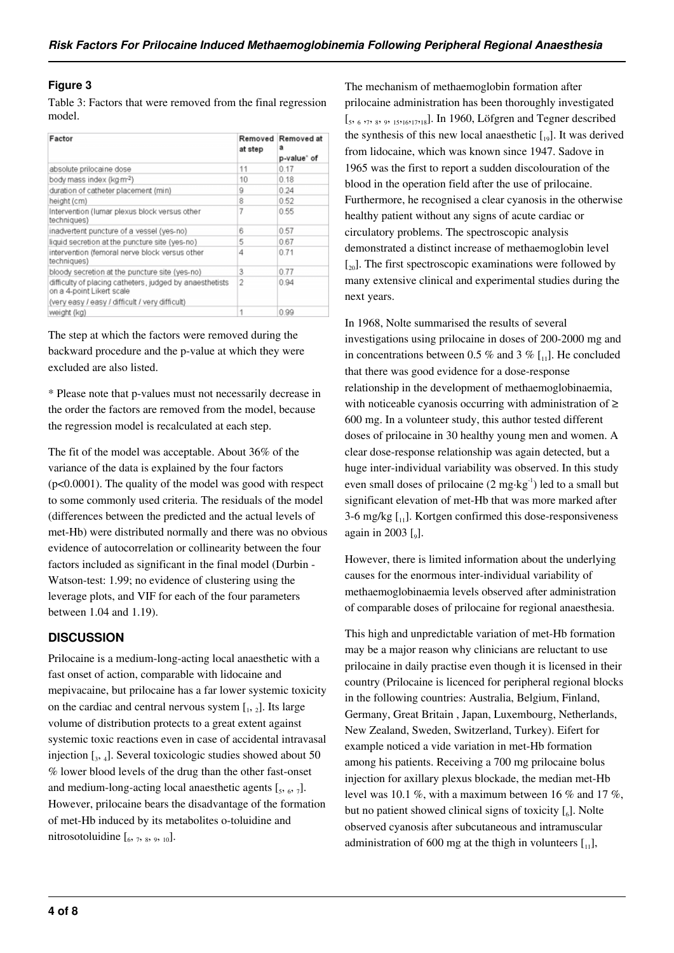## **Figure 3**

Table 3: Factors that were removed from the final regression model.

| Factor                                                                                | Removed<br>at step | Removed at<br>a<br>p-value* of |
|---------------------------------------------------------------------------------------|--------------------|--------------------------------|
| absolute prilocaine dose                                                              | 11                 | 0.17                           |
| body mass index (kg·m-2)                                                              | 10                 | 0.18                           |
| duration of catheter placement (min)                                                  | ğ                  | 0.24                           |
| height (cm)                                                                           | 8                  | 0.52                           |
| Intervention (lumar plexus block versus other<br>techniques)                          | 7                  | 0.55                           |
| inadvertent puncture of a vessel (yes-no)                                             | 6                  | 0.57                           |
| liquid secretion at the puncture site (yes-no)                                        | 5                  | 0.67                           |
| intervention (femoral nerve block versus other<br>techniques)                         | 4                  | 0.71                           |
| bloody secretion at the puncture site (yes-no)                                        | 3                  | 0.77                           |
| difficulty of placing catheters, judged by anaesthetists<br>on a 4-point Likert scale | 2                  | 0.94                           |
| (very easy / easy / difficult / very difficult)                                       |                    |                                |
| weight (kg)                                                                           | 1                  | 0.99                           |

The step at which the factors were removed during the backward procedure and the p-value at which they were excluded are also listed.

\* Please note that p-values must not necessarily decrease in the order the factors are removed from the model, because the regression model is recalculated at each step.

The fit of the model was acceptable. About 36% of the variance of the data is explained by the four factors (p<0.0001). The quality of the model was good with respect to some commonly used criteria. The residuals of the model (differences between the predicted and the actual levels of met-Hb) were distributed normally and there was no obvious evidence of autocorrelation or collinearity between the four factors included as significant in the final model (Durbin - Watson-test: 1.99; no evidence of clustering using the leverage plots, and VIF for each of the four parameters between 1.04 and 1.19).

# **DISCUSSION**

Prilocaine is a medium-long-acting local anaesthetic with a fast onset of action, comparable with lidocaine and mepivacaine, but prilocaine has a far lower systemic toxicity on the cardiac and central nervous system  $\left[1, 2\right]$ . Its large volume of distribution protects to a great extent against systemic toxic reactions even in case of accidental intravasal injection [<sup>3</sup> , 4 ]. Several toxicologic studies showed about 50 % lower blood levels of the drug than the other fast-onset and medium-long-acting local anaesthetic agents  $[s, 6, 7]$ . However, prilocaine bears the disadvantage of the formation of met-Hb induced by its metabolites o-toluidine and nitrosotoluidine  $\left[0, 7, 8, 9, 10\right]$ .

The mechanism of methaemoglobin formation after prilocaine administration has been thoroughly investigated [5, 6, 7, 8, 9, 15, 16, 17, 18]. In 1960, Löfgren and Tegner described the synthesis of this new local anaesthetic  $\begin{bmatrix} 19 \end{bmatrix}$ . It was derived from lidocaine, which was known since 1947. Sadove in 1965 was the first to report a sudden discolouration of the blood in the operation field after the use of prilocaine. Furthermore, he recognised a clear cyanosis in the otherwise healthy patient without any signs of acute cardiac or circulatory problems. The spectroscopic analysis demonstrated a distinct increase of methaemoglobin level  $\left[\begin{smallmatrix} 2\\ 0 \end{smallmatrix}\right]$ . The first spectroscopic examinations were followed by many extensive clinical and experimental studies during the next years.

In 1968, Nolte summarised the results of several investigations using prilocaine in doses of 200-2000 mg and in concentrations between 0.5 % and 3 %  $\left[1\right]$ . He concluded that there was good evidence for a dose-response relationship in the development of methaemoglobinaemia, with noticeable cyanosis occurring with administration of ≥ 600 mg. In a volunteer study, this author tested different doses of prilocaine in 30 healthy young men and women. A clear dose-response relationship was again detected, but a huge inter-individual variability was observed. In this study even small doses of prilocaine  $(2 \text{ mg} \cdot \text{kg}^{-1})$  led to a small but significant elevation of met-Hb that was more marked after 3-6 mg/kg  $\lceil n \rceil$ . Kortgen confirmed this dose-responsiveness again in 2003 [9].

However, there is limited information about the underlying causes for the enormous inter-individual variability of methaemoglobinaemia levels observed after administration of comparable doses of prilocaine for regional anaesthesia.

This high and unpredictable variation of met-Hb formation may be a major reason why clinicians are reluctant to use prilocaine in daily practise even though it is licensed in their country (Prilocaine is licenced for peripheral regional blocks in the following countries: Australia, Belgium, Finland, Germany, Great Britain , Japan, Luxembourg, Netherlands, New Zealand, Sweden, Switzerland, Turkey). Eifert for example noticed a vide variation in met-Hb formation among his patients. Receiving a 700 mg prilocaine bolus injection for axillary plexus blockade, the median met-Hb level was 10.1 %, with a maximum between 16 % and 17 %, but no patient showed clinical signs of toxicity  $\left[\begin{smallmatrix}6\end{smallmatrix}\right]$ . Nolte observed cyanosis after subcutaneous and intramuscular administration of 600 mg at the thigh in volunteers  $[1,1]$ ,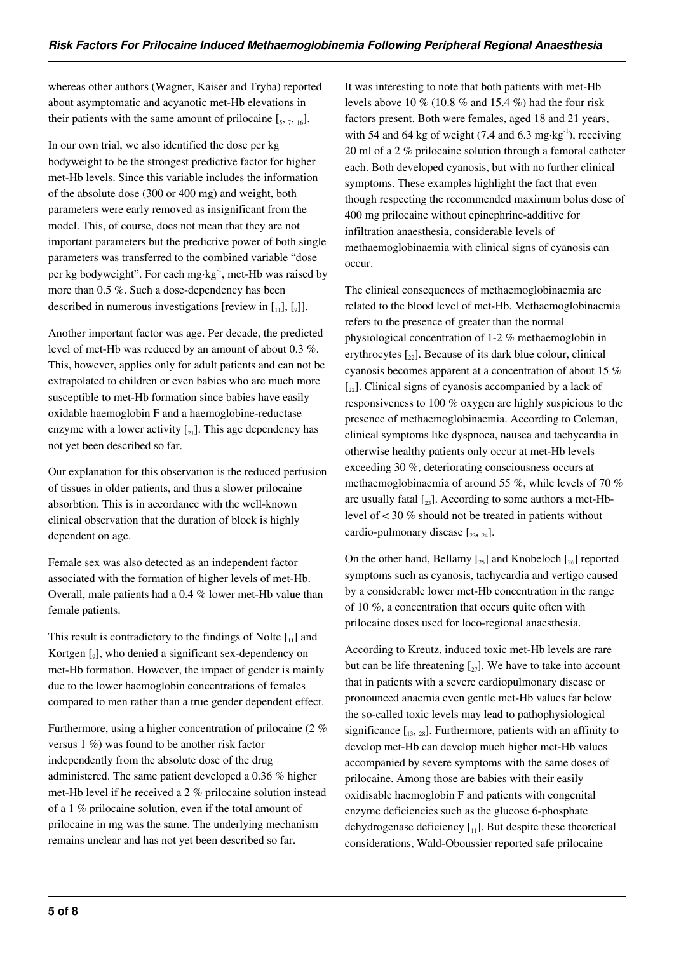whereas other authors (Wagner, Kaiser and Tryba) reported about asymptomatic and acyanotic met-Hb elevations in their patients with the same amount of prilocaine  $\left[ \zeta_{5}, \zeta_{16} \right]$ .

In our own trial, we also identified the dose per kg bodyweight to be the strongest predictive factor for higher met-Hb levels. Since this variable includes the information of the absolute dose (300 or 400 mg) and weight, both parameters were early removed as insignificant from the model. This, of course, does not mean that they are not important parameters but the predictive power of both single parameters was transferred to the combined variable "dose per kg bodyweight". For each mg·kg-1, met-Hb was raised by more than 0.5 %. Such a dose-dependency has been described in numerous investigations [review in  $\left[1_{11}\right], \left[0_{9}\right]$ ].

Another important factor was age. Per decade, the predicted level of met-Hb was reduced by an amount of about 0.3 %. This, however, applies only for adult patients and can not be extrapolated to children or even babies who are much more susceptible to met-Hb formation since babies have easily oxidable haemoglobin F and a haemoglobine-reductase enzyme with a lower activity  $\lceil z_1 \rceil$ . This age dependency has not yet been described so far.

Our explanation for this observation is the reduced perfusion of tissues in older patients, and thus a slower prilocaine absorbtion. This is in accordance with the well-known clinical observation that the duration of block is highly dependent on age.

Female sex was also detected as an independent factor associated with the formation of higher levels of met-Hb. Overall, male patients had a 0.4 % lower met-Hb value than female patients.

This result is contradictory to the findings of Nolte  $\begin{bmatrix} 1 \\ 1 \end{bmatrix}$  and Kortgen [9], who denied a significant sex-dependency on met-Hb formation. However, the impact of gender is mainly due to the lower haemoglobin concentrations of females compared to men rather than a true gender dependent effect.

Furthermore, using a higher concentration of prilocaine (2 % versus 1 %) was found to be another risk factor independently from the absolute dose of the drug administered. The same patient developed a 0.36 % higher met-Hb level if he received a 2 % prilocaine solution instead of a 1 % prilocaine solution, even if the total amount of prilocaine in mg was the same. The underlying mechanism remains unclear and has not yet been described so far.

It was interesting to note that both patients with met-Hb levels above 10 % (10.8 % and 15.4 %) had the four risk factors present. Both were females, aged 18 and 21 years, with 54 and 64 kg of weight (7.4 and 6.3 mg·kg<sup>-1</sup>), receiving 20 ml of a 2 % prilocaine solution through a femoral catheter each. Both developed cyanosis, but with no further clinical symptoms. These examples highlight the fact that even though respecting the recommended maximum bolus dose of 400 mg prilocaine without epinephrine-additive for infiltration anaesthesia, considerable levels of methaemoglobinaemia with clinical signs of cyanosis can occur.

The clinical consequences of methaemoglobinaemia are related to the blood level of met-Hb. Methaemoglobinaemia refers to the presence of greater than the normal physiological concentration of 1-2 % methaemoglobin in erythrocytes  $\lceil z_2 \rceil$ . Because of its dark blue colour, clinical cyanosis becomes apparent at a concentration of about 15 %  $[\gamma_2]$ . Clinical signs of cyanosis accompanied by a lack of responsiveness to 100 % oxygen are highly suspicious to the presence of methaemoglobinaemia. According to Coleman, clinical symptoms like dyspnoea, nausea and tachycardia in otherwise healthy patients only occur at met-Hb levels exceeding 30 %, deteriorating consciousness occurs at methaemoglobinaemia of around 55 %, while levels of 70 % are usually fatal  $\left[2, \right]$ . According to some authors a met-Hblevel of < 30 % should not be treated in patients without cardio-pulmonary disease  $[2, 2, 24]$ .

On the other hand, Bellamy  $\left[\right]_{25}$  and Knobeloch  $\left[\right]_{26}$  reported symptoms such as cyanosis, tachycardia and vertigo caused by a considerable lower met-Hb concentration in the range of 10 %, a concentration that occurs quite often with prilocaine doses used for loco-regional anaesthesia.

According to Kreutz, induced toxic met-Hb levels are rare but can be life threatening  $[\,zeta, \,z]$ . We have to take into account that in patients with a severe cardiopulmonary disease or pronounced anaemia even gentle met-Hb values far below the so-called toxic levels may lead to pathophysiological significance  $\begin{bmatrix} 1_{3}, & 2_{8} \end{bmatrix}$ . Furthermore, patients with an affinity to develop met-Hb can develop much higher met-Hb values accompanied by severe symptoms with the same doses of prilocaine. Among those are babies with their easily oxidisable haemoglobin F and patients with congenital enzyme deficiencies such as the glucose 6-phosphate dehydrogenase deficiency  $\begin{bmatrix} 1 \\ 1 \end{bmatrix}$ . But despite these theoretical considerations, Wald-Oboussier reported safe prilocaine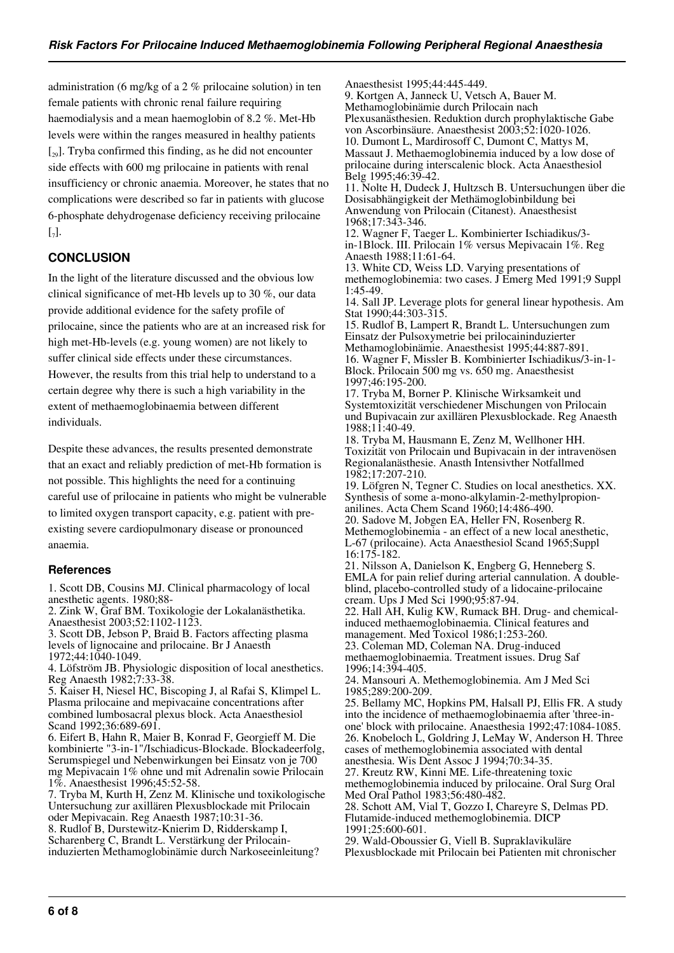administration (6 mg/kg of a 2 % prilocaine solution) in ten female patients with chronic renal failure requiring haemodialysis and a mean haemoglobin of 8.2 %. Met-Hb levels were within the ranges measured in healthy patients  $\left[\begin{smallmatrix} 20 \\ 20 \end{smallmatrix}\right]$ . Tryba confirmed this finding, as he did not encounter side effects with 600 mg prilocaine in patients with renal insufficiency or chronic anaemia. Moreover, he states that no complications were described so far in patients with glucose 6-phosphate dehydrogenase deficiency receiving prilocaine  $\left[ \begin{smallmatrix} 7 \end{smallmatrix} \right]$ .

## **CONCLUSION**

In the light of the literature discussed and the obvious low clinical significance of met-Hb levels up to 30 %, our data provide additional evidence for the safety profile of prilocaine, since the patients who are at an increased risk for high met-Hb-levels (e.g. young women) are not likely to suffer clinical side effects under these circumstances. However, the results from this trial help to understand to a certain degree why there is such a high variability in the extent of methaemoglobinaemia between different individuals.

Despite these advances, the results presented demonstrate that an exact and reliably prediction of met-Hb formation is not possible. This highlights the need for a continuing careful use of prilocaine in patients who might be vulnerable to limited oxygen transport capacity, e.g. patient with preexisting severe cardiopulmonary disease or pronounced anaemia.

### **References**

1. Scott DB, Cousins MJ. Clinical pharmacology of local anesthetic agents. 1980;88-

2. Zink W, Graf BM. Toxikologie der Lokalanästhetika. Anaesthesist 2003;52:1102-1123.

3. Scott DB, Jebson P, Braid B. Factors affecting plasma levels of lignocaine and prilocaine. Br J Anaesth 1972;44:1040-1049.

4. Löfström JB. Physiologic disposition of local anesthetics. Reg Anaesth 1982;7:33-38.

5. Kaiser H, Niesel HC, Biscoping J, al Rafai S, Klimpel L. Plasma prilocaine and mepivacaine concentrations after combined lumbosacral plexus block. Acta Anaesthesiol Scand 1992;36:689-691.

6. Eifert B, Hahn R, Maier B, Konrad F, Georgieff M. Die kombinierte "3-in-1"/Ischiadicus-Blockade. Blockadeerfolg, Serumspiegel und Nebenwirkungen bei Einsatz von je 700 mg Mepivacain 1% ohne und mit Adrenalin sowie Prilocain 1%. Anaesthesist 1996;45:52-58.

7. Tryba M, Kurth H, Zenz M. Klinische und toxikologische Untersuchung zur axillären Plexusblockade mit Prilocain oder Mepivacain. Reg Anaesth 1987;10:31-36.

8. Rudlof B, Durstewitz-Knierim D, Ridderskamp I, Scharenberg C, Brandt L. Verstärkung der Prilocaininduzierten Methamoglobinämie durch Narkoseeinleitung?

Anaesthesist 1995;44:445-449. 9. Kortgen A, Janneck U, Vetsch A, Bauer M. Methamoglobinämie durch Prilocain nach Plexusanästhesien. Reduktion durch prophylaktische Gabe von Ascorbinsäure. Anaesthesist 2003;52:1020-1026. 10. Dumont L, Mardirosoff C, Dumont C, Mattys M, Massaut J. Methaemoglobinemia induced by a low dose of prilocaine during interscalenic block. Acta Anaesthesiol Belg 1995;46:39-42. 11. Nolte H, Dudeck J, Hultzsch B. Untersuchungen über die Dosisabhängigkeit der Methämoglobinbildung bei Anwendung von Prilocain (Citanest). Anaesthesist 1968;17:343-346. 12. Wagner F, Taeger L. Kombinierter Ischiadikus/3 in-1Block. III. Prilocain 1% versus Mepivacain 1%. Reg Anaesth 1988;11:61-64. 13. White CD, Weiss LD. Varying presentations of methemoglobinemia: two cases. J Emerg Med 1991;9 Suppl 1:45-49. 14. Sall JP. Leverage plots for general linear hypothesis. Am Stat 1990;44:303-315. 15. Rudlof B, Lampert R, Brandt L. Untersuchungen zum Einsatz der Pulsoxymetrie bei prilocaininduzierter Methamoglobinämie. Anaesthesist 1995;44:887-891. 16. Wagner F, Missler B. Kombinierter Ischiadikus/3-in-1- Block. Prilocain 500 mg vs. 650 mg. Anaesthesist 1997;46:195-200. 17. Tryba M, Borner P. Klinische Wirksamkeit und Systemtoxizität verschiedener Mischungen von Prilocain und Bupivacain zur axillären Plexusblockade. Reg Anaesth 1988;11:40-49. 18. Tryba M, Hausmann E, Zenz M, Wellhoner HH. Toxizität von Prilocain und Bupivacain in der intravenösen Regionalanästhesie. Anasth Intensivther Notfallmed 1982;17:207-210. 19. Löfgren N, Tegner C. Studies on local anesthetics. XX. Synthesis of some a-mono-alkylamin-2-methylpropionanilines. Acta Chem Scand 1960;14:486-490. 20. Sadove M, Jobgen EA, Heller FN, Rosenberg R. Methemoglobinemia - an effect of a new local anesthetic, L-67 (prilocaine). Acta Anaesthesiol Scand 1965;Suppl 16:175-182. 21. Nilsson A, Danielson K, Engberg G, Henneberg S. EMLA for pain relief during arterial cannulation. A doubleblind, placebo-controlled study of a lidocaine-prilocaine cream. Ups J Med Sci 1990;95:87-94. 22. Hall AH, Kulig KW, Rumack BH. Drug- and chemicalinduced methaemoglobinaemia. Clinical features and management. Med Toxicol 1986;1:253-260. 23. Coleman MD, Coleman NA. Drug-induced methaemoglobinaemia. Treatment issues. Drug Saf 1996;14:394-405. 24. Mansouri A. Methemoglobinemia. Am J Med Sci 1985;289:200-209. 25. Bellamy MC, Hopkins PM, Halsall PJ, Ellis FR. A study into the incidence of methaemoglobinaemia after 'three-inone' block with prilocaine. Anaesthesia 1992;47:1084-1085. 26. Knobeloch L, Goldring J, LeMay W, Anderson H. Three cases of methemoglobinemia associated with dental anesthesia. Wis Dent Assoc J 1994;70:34-35. 27. Kreutz RW, Kinni ME. Life-threatening toxic methemoglobinemia induced by prilocaine. Oral Surg Oral Med Oral Pathol 1983;56:480-482. 28. Schott AM, Vial T, Gozzo I, Chareyre S, Delmas PD. Flutamide-induced methemoglobinemia. DICP 1991;25:600-601. 29. Wald-Oboussier G, Viell B. Supraklavikuläre Plexusblockade mit Prilocain bei Patienten mit chronischer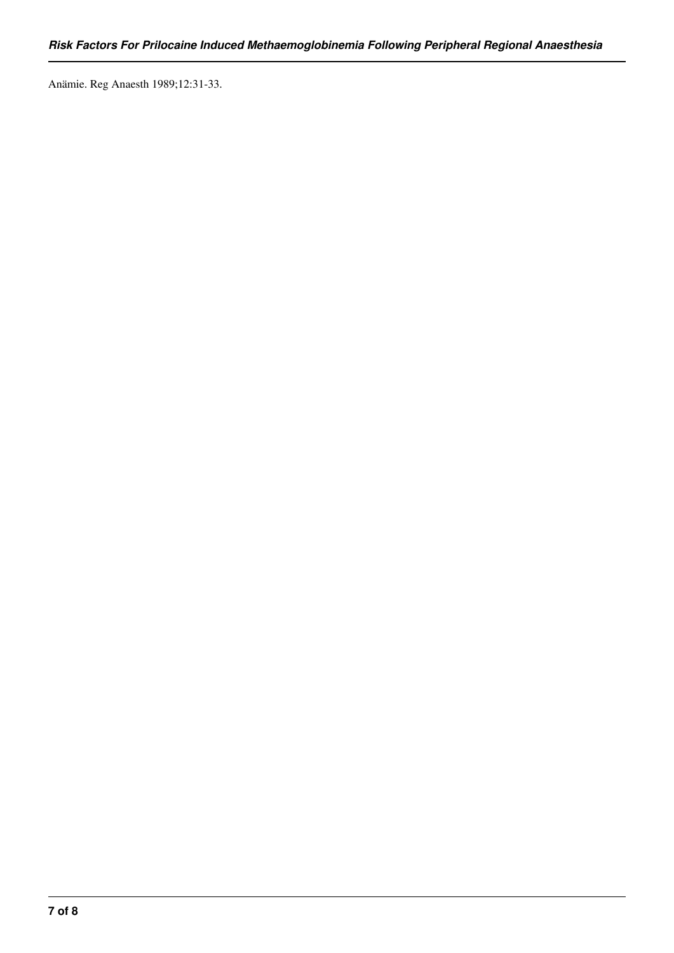Anämie. Reg Anaesth 1989;12:31-33.